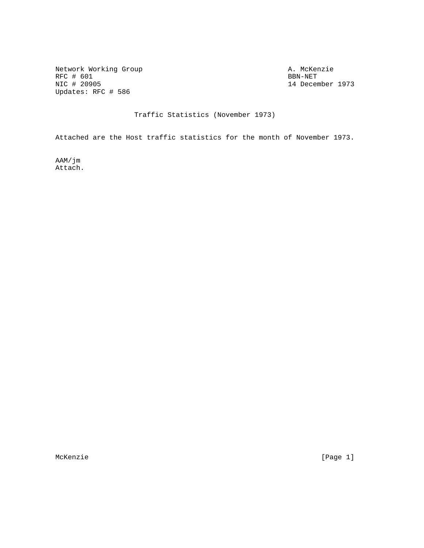Network Working Group and the settlement of the MCKenzie A. McKenzie A. McKenzie RFC # 601<br>NIC # 20905 Updates: RFC # 586

14 December 1973

Traffic Statistics (November 1973)

Attached are the Host traffic statistics for the month of November 1973.

AAM/jm Attach.

McKenzie [Page 1]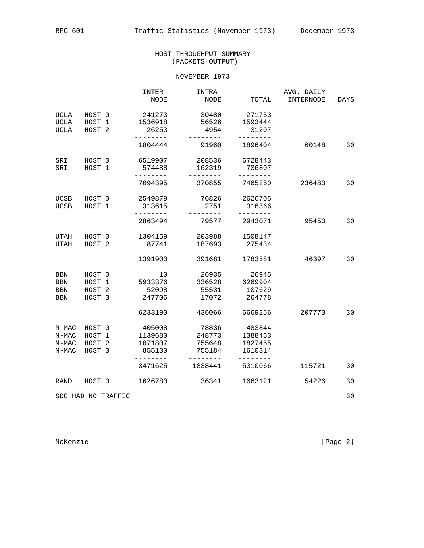## HOST THROUGHPUT SUMMARY (PACKETS OUTPUT)

## NOVEMBER 1973

|                     |                   | INTER-<br>NODE            | INTRA-<br>NODE              | TOTAL              | AVG. DAILY<br>INTERNODE | DAYS |
|---------------------|-------------------|---------------------------|-----------------------------|--------------------|-------------------------|------|
| UCLA                | HOST 0<br>HOST 1  | 241273<br>1536918         | 30480<br>56526              | 271753<br>1593444  |                         |      |
| UCLA<br><b>UCLA</b> | HOST <sub>2</sub> | 26253<br>--------         | 4954<br>--------            | 31207<br>--------  |                         |      |
|                     |                   | 1804444                   | 91960                       | 1896404            | 60148                   | 30   |
| SRI<br>SRI          | HOST 0<br>HOST 1  | 6519907<br>574488         | 208536<br>162319            | 6728443<br>736807  |                         |      |
|                     |                   |                           |                             |                    |                         |      |
|                     |                   | 7094395                   | 370855                      | 7465250            | 236480                  | 30   |
| UCSB                | HOST 0            | 2549879                   | 76826                       | 2626705            |                         |      |
| UCSB                | HOST 1            | 313615<br>--------        | 2751<br>--------            | 316366<br>-------- |                         |      |
|                     |                   | 2863494                   | 79577                       | 2943071            | 95450                   | 30   |
| UTAH                | HOST 0            | 1304159                   | 203988                      | 1508147            |                         |      |
| UTAH                | HOST <sub>2</sub> | 87741<br>--------         | 187693<br>$- - - - - - - -$ | 275434             |                         |      |
|                     |                   | 1391900                   | 391681                      | 1783581            | 46397                   | 30   |
| BBN                 | HOST 0            | 10                        | 26935                       | 26945              |                         |      |
| BBN                 | HOST 1            | 5933376                   | 336528                      | 6269904            |                         |      |
| <b>BBN</b>          | HOST <sub>2</sub> | 52098                     | 55531                       | 107629             |                         |      |
| BBN                 | HOST 3            | 247706<br>$- - - - - - -$ | 17072<br>--------           | 264778<br>-------- |                         |      |
|                     |                   | 6233190                   | 436066                      | 6669256            | 207773                  | 30   |
| $M-MAC$             | HOST 0            | 405008                    | 78836                       | 483844             |                         |      |
| $M-MAC$             | HOST 1            | 1139680                   | 248773                      | 1388453            |                         |      |
| $M-MAC$             | HOST <sub>2</sub> | 1071807                   | 755648                      | 1827455            |                         |      |
| $M-MAC$             | HOST 3            | 855130                    | 755184                      | 1610314            |                         |      |
|                     |                   | 3471625                   | 1838441                     | 5310066            | 115721                  | 30   |
| RAND                | HOST 0            | 1626780                   | 36341                       | 1663121            | 54226                   | 30   |
| SDC HAD NO TRAFFIC  |                   |                           |                             |                    |                         | 30   |

McKenzie [Page 2]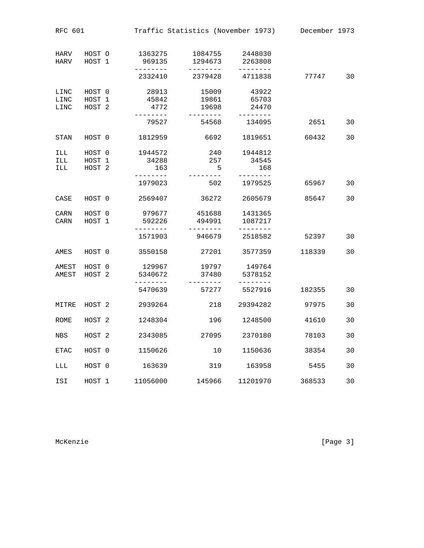| <b>RFC 601</b>       |                                       |  |                                     |                              |                 | Traffic Statistics (November 1973)  |        | December 1973 |
|----------------------|---------------------------------------|--|-------------------------------------|------------------------------|-----------------|-------------------------------------|--------|---------------|
| HARV<br>HARV         | HOST O<br>HOST 1                      |  | 1363275<br>969135                   | 1084755<br>1294673           |                 | 2448030<br>2263808                  |        |               |
|                      |                                       |  | --------<br>2332410                 | --------<br>2379428          |                 | --------<br>4711838                 | 77747  | 30            |
| LINC<br>LINC<br>LINC | HOST 0<br>HOST 1<br>HOST <sub>2</sub> |  | 28913<br>45842<br>4772<br>------    | 15009<br>19861<br>19698      |                 | 43922<br>65703<br>24470<br>-------- |        |               |
|                      |                                       |  | 79527                               | 54568                        |                 | 134095                              | 2651   | 30            |
| <b>STAN</b>          | HOST 0                                |  | 1812959                             |                              | 6692            | 1819651                             | 60432  | 30            |
| ILL<br>ILL<br>ILL    | HOST 0<br>HOST 1<br>HOST <sub>2</sub> |  | 1944572<br>34288<br>163<br>-------- | -------                      | 240<br>257<br>5 | 1944812<br>34545<br>168<br>-------- |        |               |
|                      |                                       |  | 1979023                             |                              | 502             | 1979525                             | 65967  | 30            |
| CASE                 | HOST 0                                |  | 2569407                             | 36272                        |                 | 2605679                             | 85647  | 30            |
| CARN<br>CARN         | HOST 0<br>HOST 1                      |  | 979677<br>592226<br>. _ _ _ _ _ _ _ | 451688<br>494991<br>-------- |                 | 1431365<br>1087217<br>--------      |        |               |
|                      |                                       |  | 1571903                             | 946679                       |                 | 2518582                             | 52397  | 30            |
| AMES                 | HOST 0                                |  | 3550158                             | 27201                        |                 | 3577359                             | 118339 | 30            |
| AMEST<br>AMEST       | HOST 0<br>HOST <sub>2</sub>           |  | 129967<br>5340672<br>$- - - - -$    | 19797<br>37480<br>--------   |                 | 149764<br>5378152<br>$-----$        |        |               |
|                      |                                       |  | 5470639                             | 57277                        |                 | 5527916                             | 182355 | 30            |
| MITRE                | HOST <sub>2</sub>                     |  | 2939264                             |                              | 218             | 29394282                            | 97975  | 30            |
| ROME                 | HOST <sub>2</sub>                     |  | 1248304                             |                              | 196             | 1248500                             | 41610  | 30            |
| <b>NBS</b>           | HOST <sub>2</sub>                     |  | 2343085                             | 27095                        |                 | 2370180                             | 78103  | 30            |
| ETAC                 | HOST 0                                |  | 1150626                             |                              | 10              | 1150636                             | 38354  | 30            |
| LLL                  | HOST 0                                |  | 163639                              |                              | 319             | 163958                              | 5455   | 30            |
| ISI                  | HOST 1                                |  | 11056000                            | 145966                       |                 | 11201970                            | 368533 | 30            |

McKenzie [Page 3]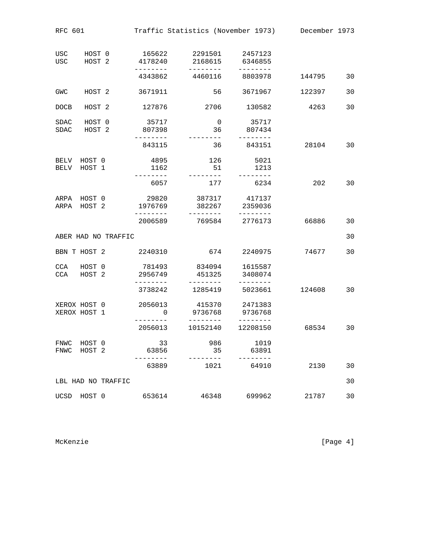| <b>RFC 601</b> |                              | Traffic Statistics (November 1973) December 1973 |                                   |                               |                                       |                                   |        |    |
|----------------|------------------------------|--------------------------------------------------|-----------------------------------|-------------------------------|---------------------------------------|-----------------------------------|--------|----|
| USC<br>USC     | HOST 0<br>HOST <sub>2</sub>  |                                                  | 165622<br>4178240                 | 2291501<br>2168615            |                                       | 2457123<br>6346855                |        |    |
|                |                              |                                                  | --------<br>4343862               | ---------<br>4460116          |                                       | ---------<br>8803978              | 144795 | 30 |
| GWC            | HOST <sub>2</sub>            |                                                  | 3671911                           |                               | 56                                    | 3671967                           | 122397 | 30 |
| <b>DOCB</b>    | HOST <sub>2</sub>            |                                                  | 127876                            | 2706                          |                                       | 130582                            | 4263   | 30 |
| SDAC<br>SDAC   | HOST 0<br>HOST <sub>2</sub>  |                                                  | 35717<br>807398                   | . _ _ _ _ _ _ _ _             | $\overline{\phantom{0}}$<br>36 807434 | 35717<br>--------                 |        |    |
|                |                              |                                                  | --------<br>843115                |                               | 36                                    | 843151                            | 28104  | 30 |
| BELV<br>BELV   | HOST 0<br>HOST 1             |                                                  | 4895<br>1162<br>--------          | ---------                     | 126<br>51                             | 5021<br>1213<br>$- - - - - - - -$ |        |    |
|                |                              |                                                  | 6057                              |                               | 177                                   | 6234                              | 202    | 30 |
| ARPA           | HOST 0<br>ARPA HOST 2        |                                                  | 29820<br>1976769<br>. _ _ _ _ _ _ | 387317<br>382267              |                                       | 417137<br>2359036                 |        |    |
|                |                              |                                                  | 2006589                           | ------<br>769584              |                                       | 2776173                           | 66886  | 30 |
|                |                              | ABER HAD NO TRAFFIC                              |                                   |                               |                                       |                                   |        | 30 |
|                | BBN T HOST 2                 |                                                  | 2240310                           |                               | 674                                   | 2240975                           | 74677  | 30 |
| CCA<br>CCA     | HOST 0<br>HOST <sub>2</sub>  |                                                  | 781493<br>2956749                 | 451325                        | 834094 1615587                        | 3408074                           |        |    |
|                |                              |                                                  | 3738242                           | 1285419                       |                                       | 5023661                           | 124608 | 30 |
|                | XEROX HOST 0<br>XEROX HOST 1 |                                                  | 2056013<br>$\mathbf 0$            | 415370<br>9736768<br>-------- |                                       | 2471383<br>9736768<br>.           |        |    |
|                |                              |                                                  | 2056013                           | 10152140                      |                                       | 12208150                          | 68534  | 30 |
| FNWC<br>FNWC   | HOST 0<br>HOST 2             |                                                  | 33<br>63856                       |                               | 986<br>35                             | 1019<br>63891                     |        |    |
|                |                              |                                                  | 63889                             |                               | 1021                                  | 64910                             | 2130   | 30 |
|                |                              | LBL HAD NO TRAFFIC                               |                                   |                               |                                       |                                   |        | 30 |
| UCSD           | HOST 0                       |                                                  | 653614                            | 46348                         |                                       | 699962                            | 21787  | 30 |

McKenzie [Page 4]